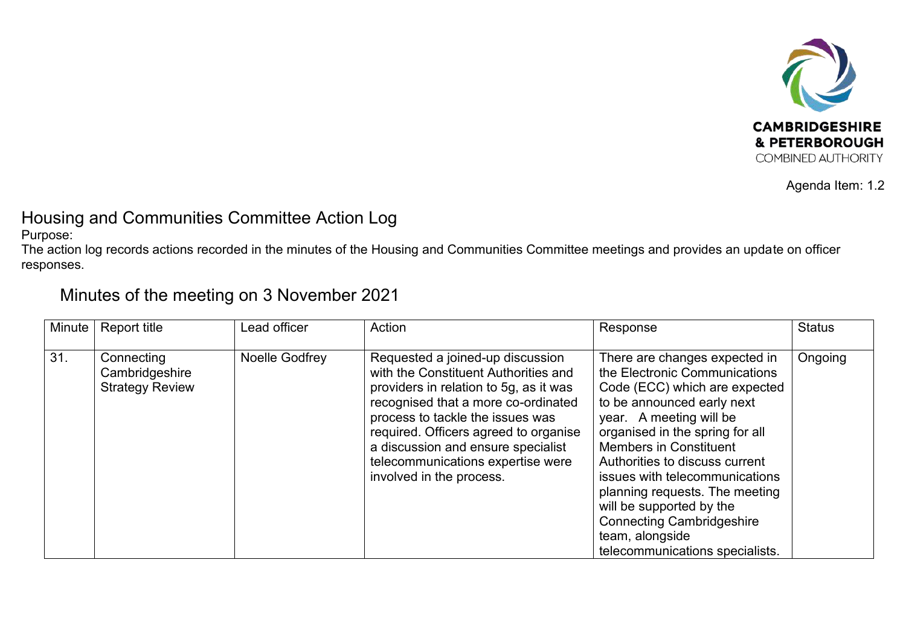

Agenda Item: 1.2

## Housing and Communities Committee Action Log

Purpose:

The action log records actions recorded in the minutes of the Housing and Communities Committee meetings and provides an update on officer responses.

## Minutes of the meeting on 3 November 2021

| Minute | <b>Report title</b>                                    | Lead officer   | Action                                                                                                                                                                                                                                                                                                                                        | Response                                                                                                                                                                                                                                                                                                                                                                                                                                                 | <b>Status</b> |
|--------|--------------------------------------------------------|----------------|-----------------------------------------------------------------------------------------------------------------------------------------------------------------------------------------------------------------------------------------------------------------------------------------------------------------------------------------------|----------------------------------------------------------------------------------------------------------------------------------------------------------------------------------------------------------------------------------------------------------------------------------------------------------------------------------------------------------------------------------------------------------------------------------------------------------|---------------|
| 31.    | Connecting<br>Cambridgeshire<br><b>Strategy Review</b> | Noelle Godfrey | Requested a joined-up discussion<br>with the Constituent Authorities and<br>providers in relation to 5g, as it was<br>recognised that a more co-ordinated<br>process to tackle the issues was<br>required. Officers agreed to organise<br>a discussion and ensure specialist<br>telecommunications expertise were<br>involved in the process. | There are changes expected in<br>the Electronic Communications<br>Code (ECC) which are expected<br>to be announced early next<br>year. A meeting will be<br>organised in the spring for all<br><b>Members in Constituent</b><br>Authorities to discuss current<br>issues with telecommunications<br>planning requests. The meeting<br>will be supported by the<br><b>Connecting Cambridgeshire</b><br>team, alongside<br>telecommunications specialists. | Ongoing       |